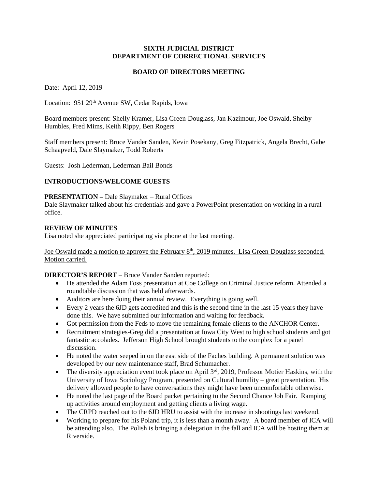#### **SIXTH JUDICIAL DISTRICT DEPARTMENT OF CORRECTIONAL SERVICES**

#### **BOARD OF DIRECTORS MEETING**

Date: April 12, 2019

Location: 951 29<sup>th</sup> Avenue SW, Cedar Rapids, Iowa

Board members present: Shelly Kramer, Lisa Green-Douglass, Jan Kazimour, Joe Oswald, Shelby Humbles, Fred Mims, Keith Rippy, Ben Rogers

Staff members present: Bruce Vander Sanden, Kevin Posekany, Greg Fitzpatrick, Angela Brecht, Gabe Schaapveld, Dale Slaymaker, Todd Roberts

Guests: Josh Lederman, Lederman Bail Bonds

## **INTRODUCTIONS/WELCOME GUESTS**

#### **PRESENTATION –** Dale Slaymaker – Rural Offices

Dale Slaymaker talked about his credentials and gave a PowerPoint presentation on working in a rural office.

#### **REVIEW OF MINUTES**

Lisa noted she appreciated participating via phone at the last meeting.

Joe Oswald made a motion to approve the February 8<sup>th</sup>, 2019 minutes. Lisa Green-Douglass seconded. Motion carried.

**DIRECTOR'S REPORT** – Bruce Vander Sanden reported:

- He attended the Adam Foss presentation at Coe College on Criminal Justice reform. Attended a roundtable discussion that was held afterwards.
- Auditors are here doing their annual review. Everything is going well.
- Every 2 years the 6JD gets accredited and this is the second time in the last 15 years they have done this. We have submitted our information and waiting for feedback.
- Got permission from the Feds to move the remaining female clients to the ANCHOR Center.
- Recruitment strategies-Greg did a presentation at Iowa City West to high school students and got fantastic accolades. Jefferson High School brought students to the complex for a panel discussion.
- He noted the water seeped in on the east side of the Faches building. A permanent solution was developed by our new maintenance staff, Brad Schumacher.
- $\bullet$  The diversity appreciation event took place on April 3<sup>rd</sup>, 2019, Professor Motier Haskins, with the University of Iowa Sociology Program, presented on Cultural humility – great presentation. His delivery allowed people to have conversations they might have been uncomfortable otherwise.
- He noted the last page of the Board packet pertaining to the Second Chance Job Fair. Ramping up activities around employment and getting clients a living wage.
- The CRPD reached out to the 6JD HRU to assist with the increase in shootings last weekend.
- Working to prepare for his Poland trip, it is less than a month away. A board member of ICA will be attending also. The Polish is bringing a delegation in the fall and ICA will be hosting them at Riverside.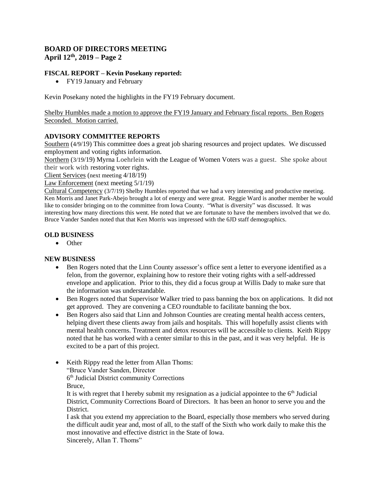# **BOARD OF DIRECTORS MEETING April 12th, 2019 – Page 2**

## **FISCAL REPORT – Kevin Posekany reported:**

FY19 January and February

Kevin Posekany noted the highlights in the FY19 February document.

Shelby Humbles made a motion to approve the FY19 January and February fiscal reports. Ben Rogers Seconded. Motion carried.

## **ADVISORY COMMITTEE REPORTS**

Southern (4/9/19) This committee does a great job sharing resources and project updates. We discussed employment and voting rights information.

Northern (3/19/19) Myrna Loehrlein with the League of Women Voters was a guest. She spoke about their work with restoring voter rights.

Client Services (next meeting 4/18/19)

Law Enforcement (next meeting  $5/1/19$ )

Cultural Competency (3/7/19) Shelby Humbles reported that we had a very interesting and productive meeting. Ken Morris and Janet Park-Abejo brought a lot of energy and were great. Reggie Ward is another member he would like to consider bringing on to the committee from Iowa County. "What is diversity" was discussed. It was interesting how many directions this went. He noted that we are fortunate to have the members involved that we do. Bruce Vander Sanden noted that that Ken Morris was impressed with the 6JD staff demographics.

## **OLD BUSINESS**

• Other

## **NEW BUSINESS**

- Ben Rogers noted that the Linn County assessor's office sent a letter to everyone identified as a felon, from the governor, explaining how to restore their voting rights with a self-addressed envelope and application. Prior to this, they did a focus group at Willis Dady to make sure that the information was understandable.
- Ben Rogers noted that Supervisor Walker tried to pass banning the box on applications. It did not get approved. They are convening a CEO roundtable to facilitate banning the box.
- Ben Rogers also said that Linn and Johnson Counties are creating mental health access centers, helping divert these clients away from jails and hospitals. This will hopefully assist clients with mental health concerns. Treatment and detox resources will be accessible to clients. Keith Rippy noted that he has worked with a center similar to this in the past, and it was very helpful. He is excited to be a part of this project.
- Keith Rippy read the letter from Allan Thoms: "Bruce Vander Sanden, Director 6<sup>th</sup> Judicial District community Corrections

Bruce,

It is with regret that I hereby submit my resignation as a judicial appointee to the  $6<sup>th</sup>$  Judicial District, Community Corrections Board of Directors. It has been an honor to serve you and the **District** 

I ask that you extend my appreciation to the Board, especially those members who served during the difficult audit year and, most of all, to the staff of the Sixth who work daily to make this the most innovative and effective district in the State of Iowa. Sincerely, Allan T. Thoms"